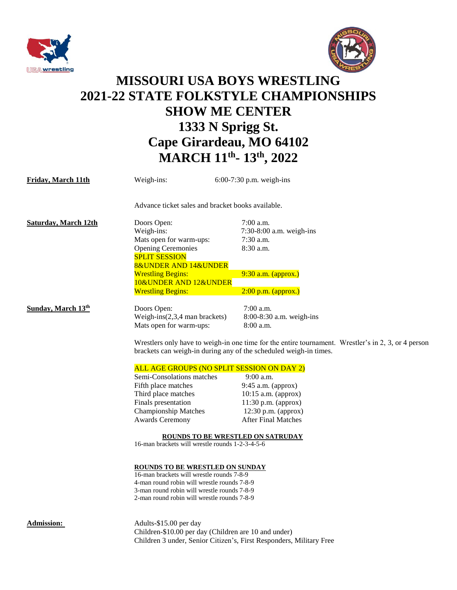



## **MISSOURI USA BOYS WRESTLING 2021-22 STATE FOLKSTYLE CHAMPIONSHIPS SHOW ME CENTER 1333 N Sprigg St. Cape Girardeau, MO 64102 MARCH 11th - 13 th, 2022**

| Friday, March 11th          | Weigh-ins:                                                                                                                                                                                            | $6:00-7:30$ p.m. weigh-ins                                                                                                                                                           |  |
|-----------------------------|-------------------------------------------------------------------------------------------------------------------------------------------------------------------------------------------------------|--------------------------------------------------------------------------------------------------------------------------------------------------------------------------------------|--|
|                             | Advance ticket sales and bracket books available.                                                                                                                                                     |                                                                                                                                                                                      |  |
| <b>Saturday, March 12th</b> | Doors Open:                                                                                                                                                                                           | $7:00$ a.m.                                                                                                                                                                          |  |
|                             | Weigh-ins:                                                                                                                                                                                            | 7:30-8:00 a.m. weigh-ins                                                                                                                                                             |  |
|                             | Mats open for warm-ups:                                                                                                                                                                               | 7:30 a.m.                                                                                                                                                                            |  |
|                             | <b>Opening Ceremonies</b>                                                                                                                                                                             | 8:30 a.m.                                                                                                                                                                            |  |
|                             | <b>SPLIT SESSION</b>                                                                                                                                                                                  |                                                                                                                                                                                      |  |
|                             | <b>8&amp;UNDER AND 14&amp;UNDER</b>                                                                                                                                                                   |                                                                                                                                                                                      |  |
|                             | <b>Wrestling Begins:</b>                                                                                                                                                                              | 9:30 a.m. (approx.)                                                                                                                                                                  |  |
|                             | 10&UNDER AND 12&UNDER                                                                                                                                                                                 |                                                                                                                                                                                      |  |
|                             | <b>Wrestling Begins:</b>                                                                                                                                                                              | $2:00$ p.m. (approx.)                                                                                                                                                                |  |
| <b>Sunday, March 13th</b>   | Doors Open:                                                                                                                                                                                           | $7:00$ a.m.                                                                                                                                                                          |  |
|                             | Weigh-ins $(2,3,4$ man brackets)                                                                                                                                                                      | 8:00-8:30 a.m. weigh-ins                                                                                                                                                             |  |
|                             | Mats open for warm-ups:                                                                                                                                                                               | $8:00$ a.m.                                                                                                                                                                          |  |
|                             | ALL AGE GROUPS (NO SPLIT SESSION ON DAY 2)<br>Semi-Consolations matches<br>Fifth place matches<br>Third place matches<br>Finals presentation<br><b>Championship Matches</b><br><b>Awards Ceremony</b> | 9:00 a.m.<br>9:45 a.m. (approx)<br>$10:15$ a.m. (approx)<br>$11:30$ p.m. (approx)<br>$12:30$ p.m. (approx)<br><b>After Final Matches</b><br><b>ROUNDS TO BE WRESTLED ON SATRUDAY</b> |  |
|                             | 16-man brackets will wrestle rounds 1-2-3-4-5-6                                                                                                                                                       |                                                                                                                                                                                      |  |
|                             | <b>ROUNDS TO BE WRESTLED ON SUNDAY</b><br>16-man brackets will wrestle rounds 7-8-9                                                                                                                   |                                                                                                                                                                                      |  |
|                             | 4-man round robin will wrestle rounds 7-8-9                                                                                                                                                           |                                                                                                                                                                                      |  |
|                             | 3-man round robin will wrestle rounds 7-8-9                                                                                                                                                           |                                                                                                                                                                                      |  |
|                             | 2-man round robin will wrestle rounds 7-8-9                                                                                                                                                           |                                                                                                                                                                                      |  |
| <b>Admission:</b>           | Adults-\$15.00 per day                                                                                                                                                                                |                                                                                                                                                                                      |  |
|                             | Children-\$10.00 per day (Children are 10 and under)                                                                                                                                                  |                                                                                                                                                                                      |  |
|                             | Children 3 under, Senior Citizen's, First Responders, Military Free                                                                                                                                   |                                                                                                                                                                                      |  |